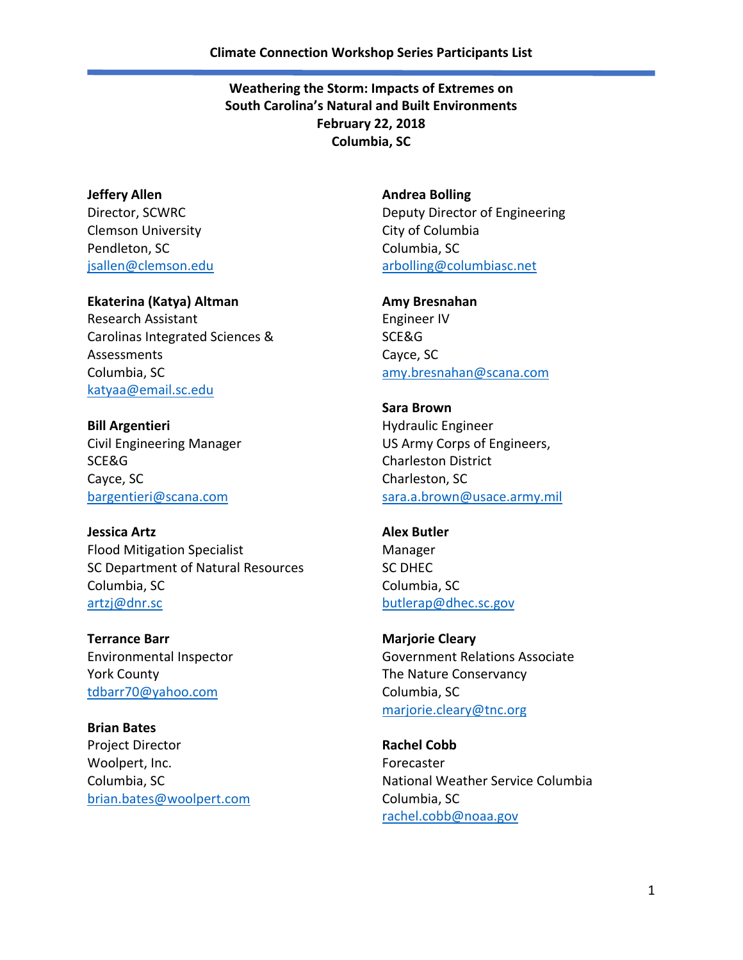**Jeffery Allen** Director, SCWRC Clemson University Pendleton, SC [jsallen@clemson.edu](mailto:jsallen@clemson.edu)

**Ekaterina (Katya) Altman** Research Assistant Carolinas Integrated Sciences & Assessments Columbia, SC [katyaa@email.sc.edu](mailto:katyaa@email.sc.edu)

**Bill Argentieri** Civil Engineering Manager SCE&G Cayce, SC [bargentieri@scana.com](mailto:bargentieri@scana.com)

**Jessica Artz** Flood Mitigation Specialist SC Department of Natural Resources Columbia, SC [artzj@dnr.sc](mailto:artzj@dnr.sc)

**Terrance Barr** Environmental Inspector York County [tdbarr70@yahoo.com](mailto:tdbarr70@yahoo.com)

**Brian Bates** Project Director Woolpert, Inc. Columbia, SC [brian.bates@woolpert.com](mailto:brian.bates@woolpert.com) **Andrea Bolling** Deputy Director of Engineering City of Columbia Columbia, SC [arbolling@columbiasc.net](mailto:arbolling@columbiasc.net)

**Amy Bresnahan** Engineer IV SCE&G Cayce, SC [amy.bresnahan@scana.com](mailto:amy.bresnahan@scana.com)

**Sara Brown** Hydraulic Engineer US Army Corps of Engineers, Charleston District Charleston, SC [sara.a.brown@usace.army.mil](mailto:sara.a.brown@usace.army.mil)

**Alex Butler** Manager SC DHEC Columbia, SC [butlerap@dhec.sc.gov](mailto:butlerap@dhec.sc.gov)

**Marjorie Cleary** Government Relations Associate The Nature Conservancy Columbia, SC [marjorie.cleary@tnc.org](mailto:marjorie.cleary@tnc.org)

**Rachel Cobb** Forecaster National Weather Service Columbia Columbia, SC [rachel.cobb@noaa.gov](mailto:rachel.cobb@noaa.gov)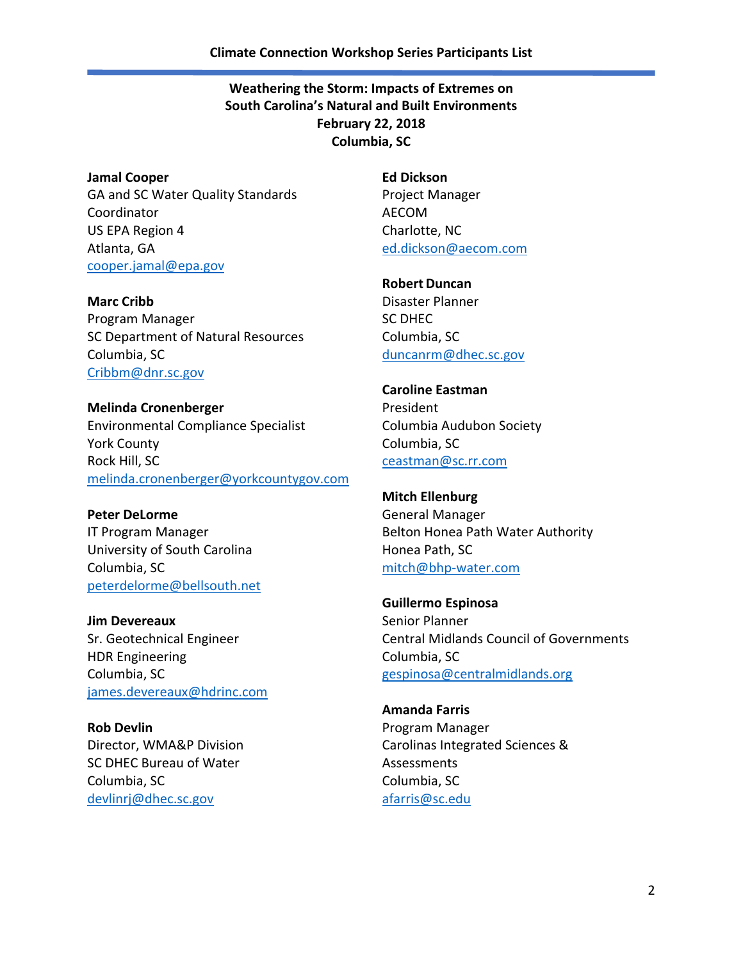**Jamal Cooper**  GA and SC Water Quality Standards Coordinator US EPA Region 4 Atlanta, GA [cooper.jamal@epa.gov](mailto:cooper.jamal@epa.gov)

**Marc Cribb** Program Manager SC Department of Natural Resources Columbia, SC [Cribbm@dnr.sc.gov](mailto:Cribbm@dnr.sc.gov)

**Melinda Cronenberger** Environmental Compliance Specialist York County Rock Hill, SC [melinda.cronenberger@yorkcountygov.com](mailto:melinda.cronenberger@yorkcountygov.com)

**Peter DeLorme** IT Program Manager University of South Carolina Columbia, SC [peterdelorme@bellsouth.net](mailto:peterdelorme@bellsouth.net)

**Jim Devereaux** Sr. Geotechnical Engineer HDR Engineering Columbia, SC [james.devereaux@hdrinc.com](mailto:james.devereaux@hdrinc.com)

**Rob Devlin** Director, WMA&P Division SC DHEC Bureau of Water Columbia, SC [devlinrj@dhec.sc.gov](mailto:devlinrj@dhec.sc.gov)

**Ed Dickson** Project Manager AECOM Charlotte, NC [ed.dickson@aecom.com](mailto:ed.dickson@aecom.com)

**Robert Duncan** Disaster Planner SC DHEC Columbia, SC [duncanrm@dhec.sc.gov](mailto:duncanrm@dhec.sc.gov)

**Caroline Eastman** President Columbia Audubon Society Columbia, SC [ceastman@sc.rr.com](mailto:ceastman@sc.rr.com)

**Mitch Ellenburg** General Manager Belton Honea Path Water Authority Honea Path, SC [mitch@bhp-water.com](mailto:mitch@bhp-water.com)

**Guillermo Espinosa** Senior Planner Central Midlands Council of Governments Columbia, SC [gespinosa@centralmidlands.org](mailto:gespinosa@centralmidlands.org)

**Amanda Farris** Program Manager Carolinas Integrated Sciences & Assessments Columbia, SC [afarris@sc.edu](mailto:afarris@sc.edu)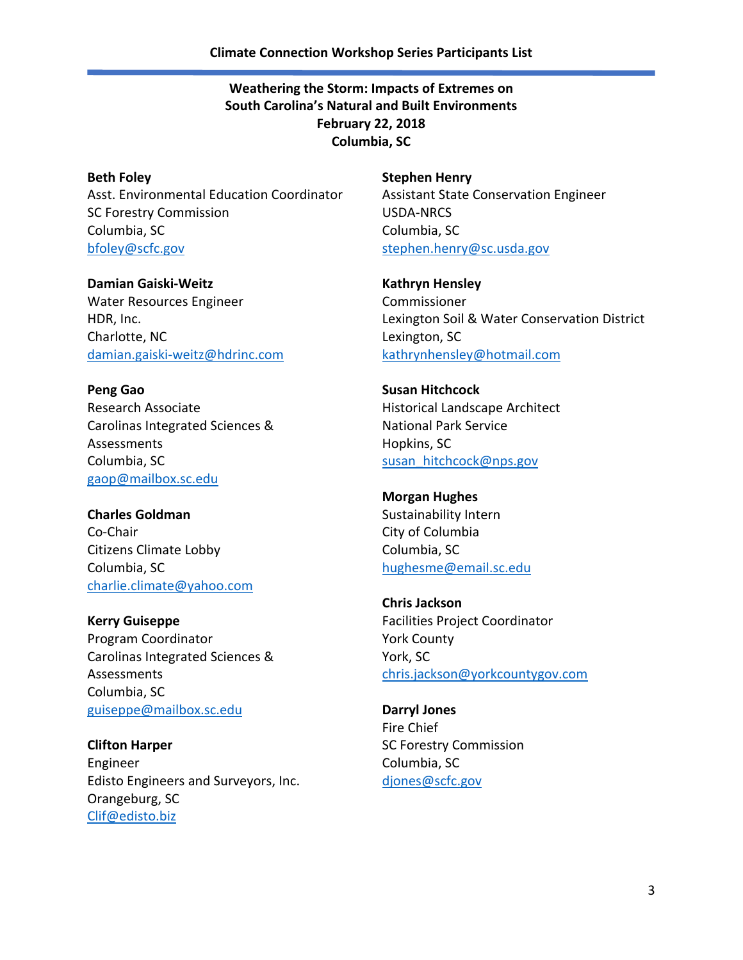**Beth Foley** Asst. Environmental Education Coordinator SC Forestry Commission Columbia, SC [bfoley@scfc.gov](mailto:bfoley@scfc.gov)

**Damian Gaiski-Weitz** Water Resources Engineer HDR, Inc. Charlotte, NC [damian.gaiski-weitz@hdrinc.com](mailto:damian.gaiski-weitz@hdrinc.com)

**Peng Gao** Research Associate Carolinas Integrated Sciences & Assessments Columbia, SC [gaop@mailbox.sc.edu](mailto:gaop@mailbox.sc.edu)

**Charles Goldman** Co-Chair Citizens Climate Lobby Columbia, SC [charlie.climate@yahoo.com](mailto:charlie.climate@yahoo.com)

**Kerry Guiseppe** Program Coordinator Carolinas Integrated Sciences & Assessments Columbia, SC [guiseppe@mailbox.sc.edu](mailto:guiseppe@mailbox.sc.edu)

**Clifton Harper** Engineer Edisto Engineers and Surveyors, Inc. Orangeburg, SC [Clif@edisto.biz](mailto:Clif@edisto.biz)

**Stephen Henry** Assistant State Conservation Engineer USDA-NRCS Columbia, SC [stephen.henry@sc.usda.gov](mailto:stephen.henry@sc.usda.gov)

**Kathryn Hensley** Commissioner Lexington Soil & Water Conservation District Lexington, SC [kathrynhensley@hotmail.com](mailto:kathrynhensley@hotmail.com)

**Susan Hitchcock** Historical Landscape Architect National Park Service Hopkins, SC [susan\\_hitchcock@nps.gov](mailto:susan_hitchcock@nps.gov)

**Morgan Hughes** Sustainability Intern City of Columbia Columbia, SC [hughesme@email.sc.edu](mailto:hughesme@email.sc.edu)

**Chris Jackson** Facilities Project Coordinator York County York, SC [chris.jackson@yorkcountygov.com](mailto:chris.jackson@yorkcountygov.com)

**Darryl Jones** Fire Chief SC Forestry Commission Columbia, SC [djones@scfc.gov](mailto:djones@scfc.gov)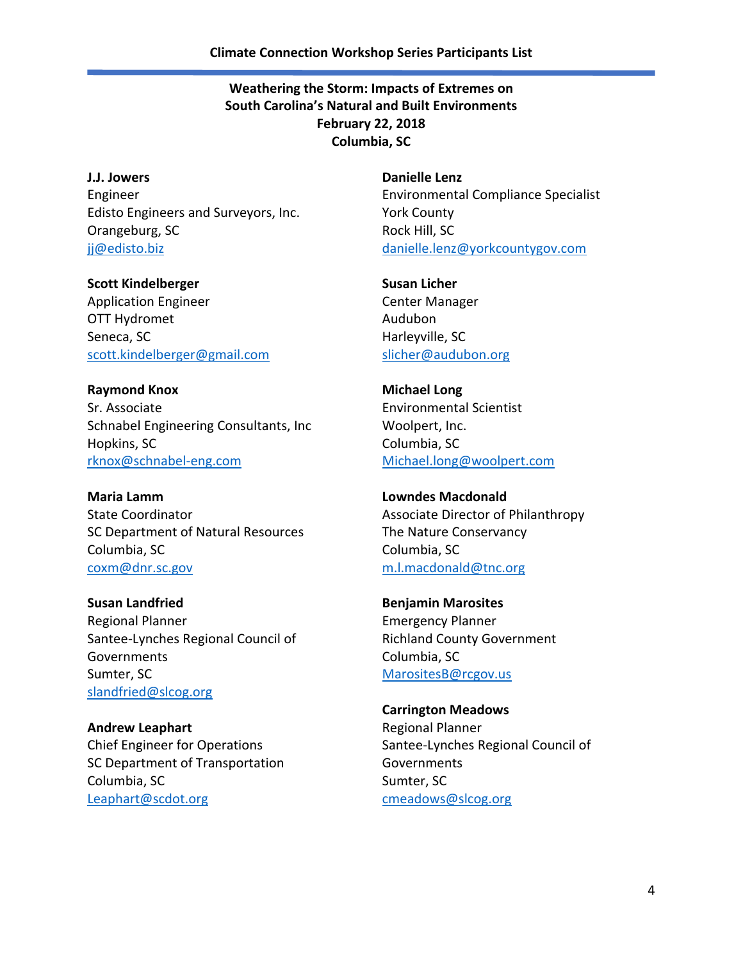**J.J. Jowers** Engineer Edisto Engineers and Surveyors, Inc. Orangeburg, SC [jj@edisto.biz](mailto:jj@edisto.biz)

**Scott Kindelberger** Application Engineer OTT Hydromet Seneca, SC [scott.kindelberger@gmail.com](mailto:scott.kindelberger@gmail.com)

**Raymond Knox** Sr. Associate Schnabel Engineering Consultants, Inc Hopkins, SC [rknox@schnabel-eng.com](mailto:rknox@schnabel-eng.com)

**Maria Lamm** State Coordinator SC Department of Natural Resources Columbia, SC [coxm@dnr.sc.gov](mailto:coxm@dnr.sc.gov)

**Susan Landfried** Regional Planner Santee-Lynches Regional Council of **Governments** Sumter, SC [slandfried@slcog.org](mailto:slandfried@slcog.org)

**Andrew Leaphart** Chief Engineer for Operations SC Department of Transportation Columbia, SC [Leaphart@scdot.org](mailto:Leaphart@scdot.org)

**Danielle Lenz** Environmental Compliance Specialist York County Rock Hill, SC [danielle.lenz@yorkcountygov.com](mailto:danielle.lenz@yorkcountygov.com)

**Susan Licher** Center Manager Audubon Harleyville, SC [slicher@audubon.org](mailto:slicher@audubon.org)

**Michael Long** Environmental Scientist Woolpert, Inc. Columbia, SC [Michael.long@woolpert.com](mailto:Michael.long@woolpert.com)

**Lowndes Macdonald** Associate Director of Philanthropy The Nature Conservancy Columbia, SC [m.l.macdonald@tnc.org](mailto:m.l.macdonald@tnc.org)

**Benjamin Marosites** Emergency Planner Richland County Government Columbia, SC [MarositesB@rcgov.us](mailto:MarositesB@rcgov.us)

**Carrington Meadows** Regional Planner Santee-Lynches Regional Council of **Governments** Sumter, SC [cmeadows@slcog.org](mailto:cmeadows@slcog.org)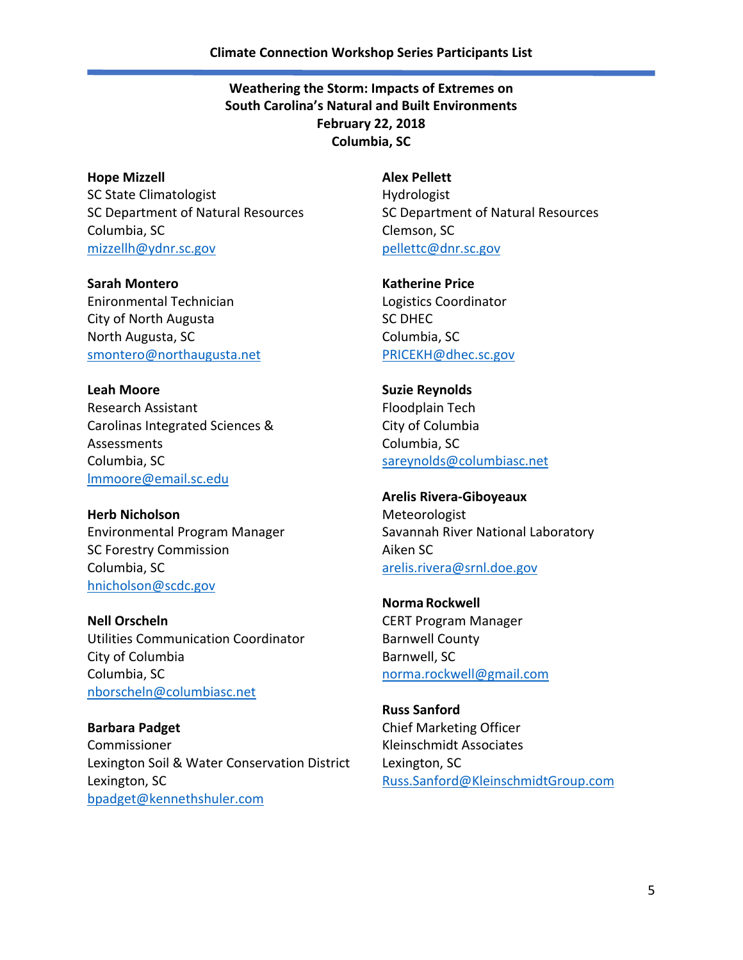**Hope Mizzell** SC State Climatologist SC Department of Natural Resources Columbia, SC [mizzellh@ydnr.sc.gov](mailto:mizzellh@ydnr.sc.gov)

**Sarah Montero** Enironmental Technician City of North Augusta North Augusta, SC [smontero@northaugusta.net](mailto:smontero@northaugusta.net)

**Leah Moore** Research Assistant Carolinas Integrated Sciences & Assessments Columbia, SC [lmmoore@email.sc.edu](mailto:lmmoore@email.sc.edu)

**Herb Nicholson** Environmental Program Manager SC Forestry Commission Columbia, SC [hnicholson@scdc.gov](mailto:hnicholson@scdc.gov)

**Nell Orscheln** Utilities Communication Coordinator City of Columbia Columbia, SC [nborscheln@columbiasc.net](mailto:nborscheln@columbiasc.net)

**Barbara Padget** Commissioner Lexington Soil & Water Conservation District Lexington, SC [bpadget@kennethshuler.com](mailto:bpadget@kennethshuler.com)

**Alex Pellett** Hydrologist SC Department of Natural Resources Clemson, SC [pellettc@dnr.sc.gov](mailto:pellettc@dnr.sc.gov)

**Katherine Price** Logistics Coordinator SC DHEC Columbia, SC [PRICEKH@dhec.sc.gov](mailto:PRICEKH@dhec.sc.gov)

**Suzie Reynolds** Floodplain Tech City of Columbia Columbia, SC [sareynolds@columbiasc.net](mailto:sareynolds@columbiasc.net)

## **Arelis Rivera-Giboyeaux** Meteorologist Savannah River National Laboratory

Aiken SC [arelis.rivera@srnl.doe.gov](mailto:arelis.rivera@srnl.doe.gov)

**NormaRockwell** CERT Program Manager Barnwell County Barnwell, SC [norma.rockwell@gmail.com](mailto:norma.rockwell@gmail.com)

**Russ Sanford** Chief Marketing Officer Kleinschmidt Associates Lexington, SC [Russ.Sanford@KleinschmidtGroup.com](mailto:Russ.Sanford@KleinschmidtGroup.com)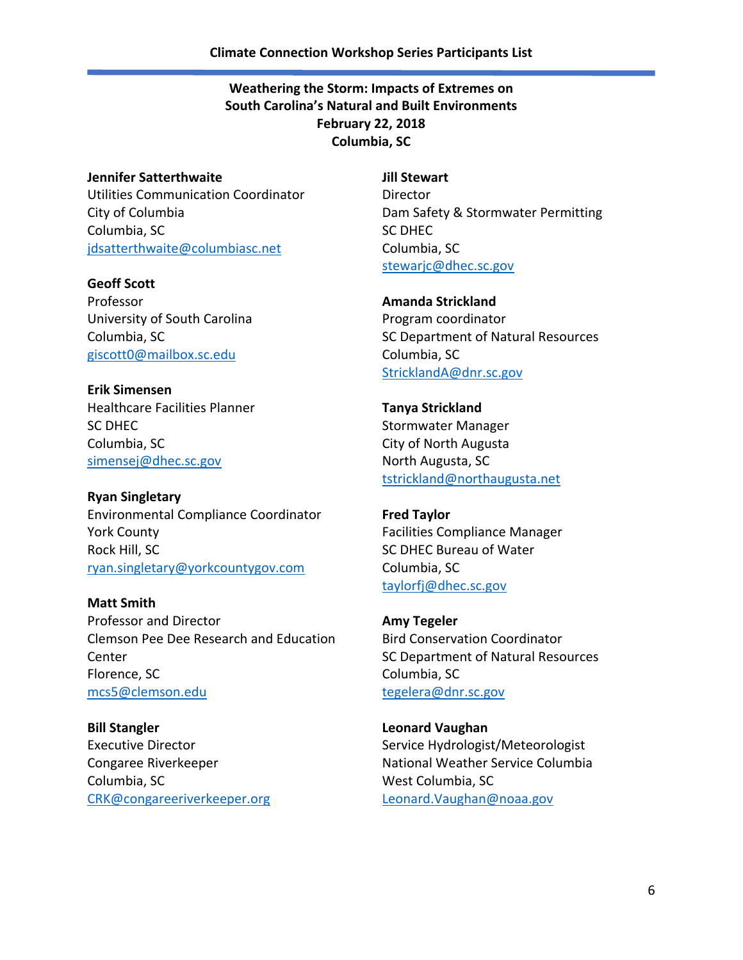## **Jennifer Satterthwaite**

Utilities Communication Coordinator City of Columbia Columbia, SC [jdsatterthwaite@columbiasc.net](mailto:jdsatterthwaite@columbiasc.net)

**Geoff Scott** Professor University of South Carolina Columbia, SC [giscott0@mailbox.sc.edu](mailto:giscott0@mailbox.sc.edu)

**Erik Simensen** Healthcare Facilities Planner SC DHEC Columbia, SC [simensej@dhec.sc.gov](mailto:simensej@dhec.sc.gov)

**Ryan Singletary** Environmental Compliance Coordinator York County Rock Hill, SC [ryan.singletary@yorkcountygov.com](mailto:ryan.singletary@yorkcountygov.com)

**Matt Smith** Professor and Director Clemson Pee Dee Research and Education Center Florence, SC [mcs5@clemson.edu](mailto:mcs5@clemson.edu)

**Bill Stangler** Executive Director Congaree Riverkeeper Columbia, SC [CRK@congareeriverkeeper.org](mailto:CRK@congareeriverkeeper.org) **Jill Stewart** Director Dam Safety & Stormwater Permitting SC DHEC Columbia, SC [stewarjc@dhec.sc.gov](mailto:stewarjc@dhec.sc.gov)

**Amanda Strickland** Program coordinator SC Department of Natural Resources Columbia, SC [StricklandA@dnr.sc.gov](mailto:StricklandA@dnr.sc.gov)

**Tanya Strickland** Stormwater Manager City of North Augusta North Augusta, SC [tstrickland@northaugusta.net](mailto:tstrickland@northaugusta.net)

**Fred Taylor** Facilities Compliance Manager SC DHEC Bureau of Water Columbia, SC [taylorfj@dhec.sc.gov](mailto:taylorfj@dhec.sc.gov)

**Amy Tegeler** Bird Conservation Coordinator SC Department of Natural Resources Columbia, SC [tegelera@dnr.sc.gov](mailto:tegelera@dnr.sc.gov)

**Leonard Vaughan** Service Hydrologist/Meteorologist National Weather Service Columbia West Columbia, SC [Leonard.Vaughan@noaa.gov](mailto:Leonard.Vaughan@noaa.gov)